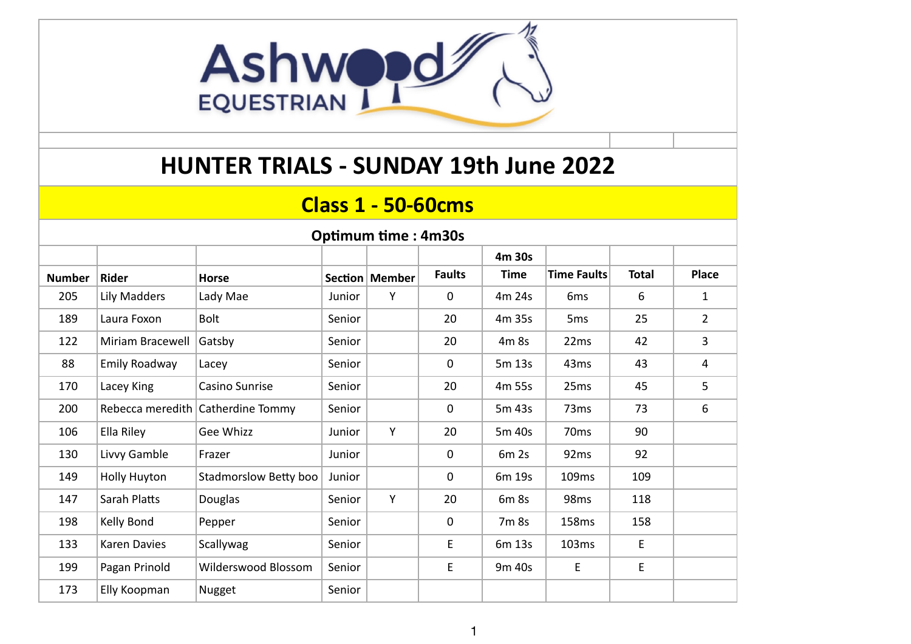

### **HUNTER TRIALS - SUNDAY 19th June 2022**

#### **Class 1 - 50-60cms**

| <b>Optimum time: 4m30s</b> |                  |                                   |        |                  |               |                  |                    |              |                |  |  |
|----------------------------|------------------|-----------------------------------|--------|------------------|---------------|------------------|--------------------|--------------|----------------|--|--|
|                            |                  |                                   |        |                  |               | 4m 30s           |                    |              |                |  |  |
| <b>Number</b>              | Rider            | Horse                             |        | Section   Member | <b>Faults</b> | <b>Time</b>      | <b>Time Faults</b> | <b>Total</b> | Place          |  |  |
| 205                        | Lily Madders     | Lady Mae                          | Junior | Υ                | 0             | 4m 24s           | 6 <sub>ms</sub>    | 6            | $\mathbf{1}$   |  |  |
| 189                        | Laura Foxon      | <b>Bolt</b>                       | Senior |                  | 20            | 4m 35s           | 5 <sub>ms</sub>    | 25           | $\overline{2}$ |  |  |
| 122                        | Miriam Bracewell | Gatsby                            | Senior |                  | 20            | 4m 8s            | 22ms               | 42           | 3              |  |  |
| 88                         | Emily Roadway    | Lacey                             | Senior |                  | 0             | 5m 13s           | 43 <sub>ms</sub>   | 43           | 4              |  |  |
| 170                        | Lacey King       | Casino Sunrise                    | Senior |                  | 20            | 4m 55s           | 25ms               | 45           | 5              |  |  |
| 200                        |                  | Rebecca meredith Catherdine Tommy | Senior |                  | 0             | 5m 43s           | 73 <sub>ms</sub>   | 73           | 6              |  |  |
| 106                        | Ella Riley       | Gee Whizz                         | Junior | Y                | 20            | 5m 40s           | 70 <sub>ms</sub>   | 90           |                |  |  |
| 130                        | Livvy Gamble     | Frazer                            | Junior |                  | 0             | 6m <sub>2s</sub> | 92 <sub>ms</sub>   | 92           |                |  |  |
| 149                        | Holly Huyton     | Stadmorslow Betty boo             | Junior |                  | 0             | 6m 19s           | 109ms              | 109          |                |  |  |
| 147                        | Sarah Platts     | Douglas                           | Senior | Y                | 20            | 6m 8s            | 98 <sub>ms</sub>   | 118          |                |  |  |
| 198                        | Kelly Bond       | Pepper                            | Senior |                  | $\mathbf 0$   | 7m 8s            | 158ms              | 158          |                |  |  |
| 133                        | Karen Davies     | Scallywag                         | Senior |                  | E             | 6m 13s           | 103ms              | E            |                |  |  |
| 199                        | Pagan Prinold    | Wilderswood Blossom               | Senior |                  | E             | 9m 40s           | E                  | E            |                |  |  |
| 173                        | Elly Koopman     | Nugget                            | Senior |                  |               |                  |                    |              |                |  |  |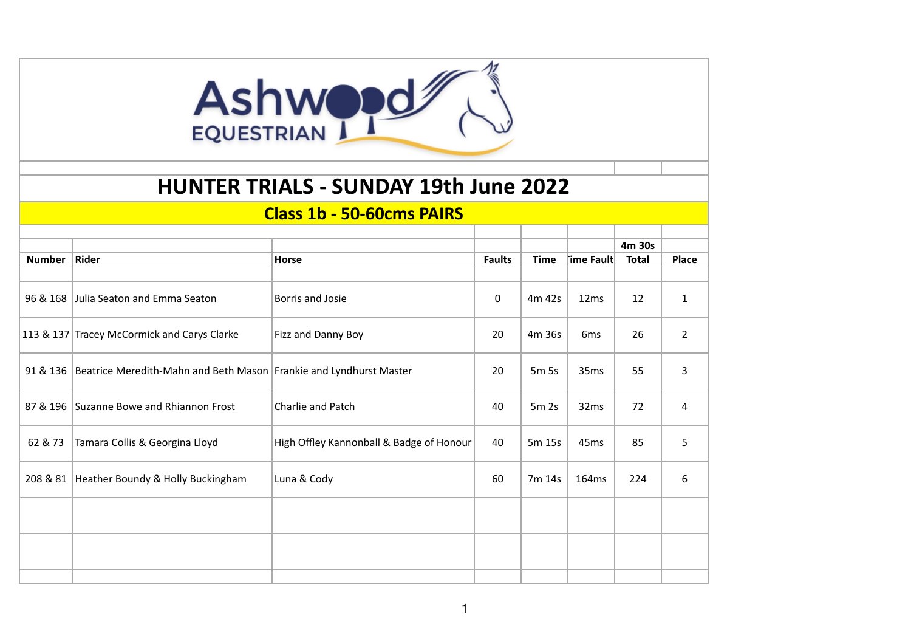## Ashwood

### **HUNTER TRIALS - SUNDAY 19th June 2022**

#### **Class 1b - 50-60cms PAIRS**

|               |                                                                    |                                          |               |                  |                   | 4m 30s       |                |
|---------------|--------------------------------------------------------------------|------------------------------------------|---------------|------------------|-------------------|--------------|----------------|
| <b>Number</b> | Rider                                                              | Horse                                    | <b>Faults</b> | <b>Time</b>      | $ $ ime Fault $ $ | <b>Total</b> | <b>Place</b>   |
|               |                                                                    |                                          |               |                  |                   |              |                |
| 96 & 168      | Julia Seaton and Emma Seaton                                       | Borris and Josie                         | 0             | 4m 42s           | 12ms              | 12           | $\mathbf{1}$   |
|               | 113 & 137 Tracey McCormick and Carys Clarke                        | Fizz and Danny Boy                       | 20            | 4m 36s           | 6 <sub>ms</sub>   | 26           | $\overline{2}$ |
| 91 & 136      | Beatrice Meredith-Mahn and Beth Mason Frankie and Lyndhurst Master |                                          | 20            | 5m 5s            | 35ms              | 55           | 3              |
|               | 87 & 196 Suzanne Bowe and Rhiannon Frost                           | Charlie and Patch                        | 40            | 5m <sub>2s</sub> | 32ms              | 72           | 4              |
| 62 & 73       | Tamara Collis & Georgina Lloyd                                     | High Offley Kannonball & Badge of Honour | 40            | 5m 15s           | 45 <sub>ms</sub>  | 85           | 5              |
|               | 208 & 81   Heather Boundy & Holly Buckingham                       | Luna & Cody                              | 60            | 7m 14s           | 164ms             | 224          | 6              |
|               |                                                                    |                                          |               |                  |                   |              |                |
|               |                                                                    |                                          |               |                  |                   |              |                |
|               |                                                                    |                                          |               |                  |                   |              |                |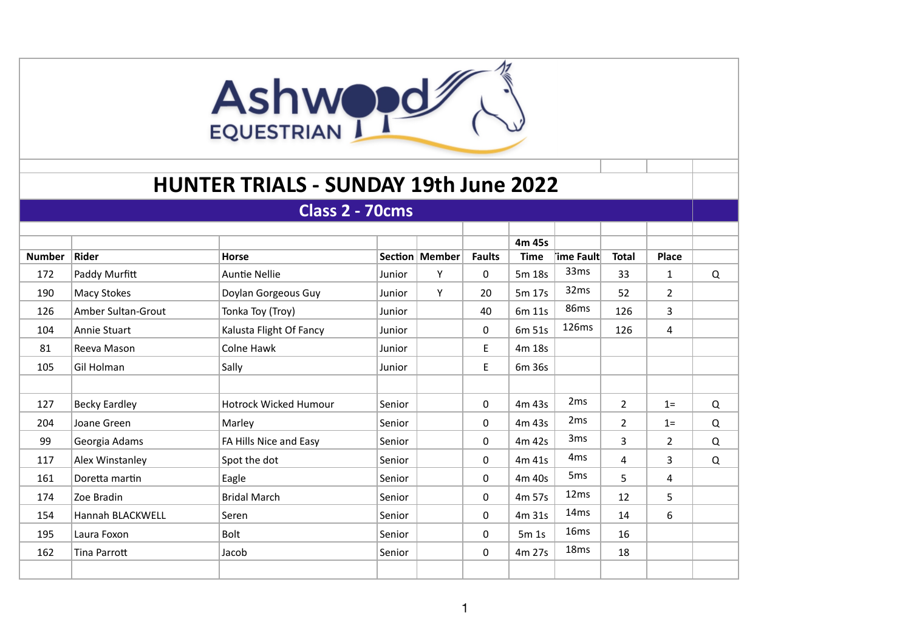## Ashwood

### **HUNTER TRIALS - SUNDAY 19th June 2022**

| Class 2 - 70cms |                           |                              |        |                  |               |             |                  |                |                |   |
|-----------------|---------------------------|------------------------------|--------|------------------|---------------|-------------|------------------|----------------|----------------|---|
|                 |                           |                              |        |                  |               |             |                  |                |                |   |
|                 |                           |                              |        |                  |               | 4m 45s      |                  |                |                |   |
| <b>Number</b>   | Rider                     | Horse                        |        | Section   Member | <b>Faults</b> | <b>Time</b> | †ime Fault       | <b>Total</b>   | <b>Place</b>   |   |
| 172             | Paddy Murfitt             | <b>Auntie Nellie</b>         | Junior | Y                | $\mathbf 0$   | 5m 18s      | 33 <sub>ms</sub> | 33             | $\mathbf{1}$   | Q |
| 190             | Macy Stokes               | Doylan Gorgeous Guy          | Junior | Y                | 20            | 5m 17s      | 32ms             | 52             | $\overline{2}$ |   |
| 126             | <b>Amber Sultan-Grout</b> | Tonka Toy (Troy)             | Junior |                  | 40            | 6m 11s      | 86ms             | 126            | 3              |   |
| 104             | Annie Stuart              | Kalusta Flight Of Fancy      | Junior |                  | $\mathbf 0$   | 6m 51s      | 126ms            | 126            | 4              |   |
| 81              | Reeva Mason               | Colne Hawk                   | Junior |                  | E.            | 4m 18s      |                  |                |                |   |
| 105             | Gil Holman                | Sally                        | Junior |                  | E.            | 6m 36s      |                  |                |                |   |
|                 |                           |                              |        |                  |               |             |                  |                |                |   |
| 127             | <b>Becky Eardley</b>      | <b>Hotrock Wicked Humour</b> | Senior |                  | 0             | 4m 43s      | 2 <sub>ms</sub>  | $\overline{2}$ | $1 =$          | Q |
| 204             | Joane Green               | Marley                       | Senior |                  | 0             | 4m 43s      | 2 <sub>ms</sub>  | $\overline{2}$ | $1=$           | Q |
| 99              | Georgia Adams             | FA Hills Nice and Easy       | Senior |                  | 0             | 4m 42s      | 3ms              | $\overline{3}$ | $\overline{2}$ | Q |
| 117             | Alex Winstanley           | Spot the dot                 | Senior |                  | 0             | 4m 41s      | 4 <sub>ms</sub>  | 4              | 3              | Q |
| 161             | Doretta martin            | Eagle                        | Senior |                  | 0             | 4m 40s      | 5 <sub>ms</sub>  | 5              | 4              |   |
| 174             | Zoe Bradin                | <b>Bridal March</b>          | Senior |                  | 0             | 4m 57s      | 12 <sub>ms</sub> | 12             | 5              |   |
| 154             | Hannah BLACKWELL          | Seren                        | Senior |                  | 0             | 4m 31s      | 14 <sub>ms</sub> | 14             | 6              |   |
| 195             | Laura Foxon               | <b>Bolt</b>                  | Senior |                  | 0             | 5m1s        | 16 <sub>ms</sub> | 16             |                |   |
| 162             | <b>Tina Parrott</b>       | Jacob                        | Senior |                  | 0             | 4m 27s      | 18 <sub>ms</sub> | 18             |                |   |
|                 |                           |                              |        |                  |               |             |                  |                |                |   |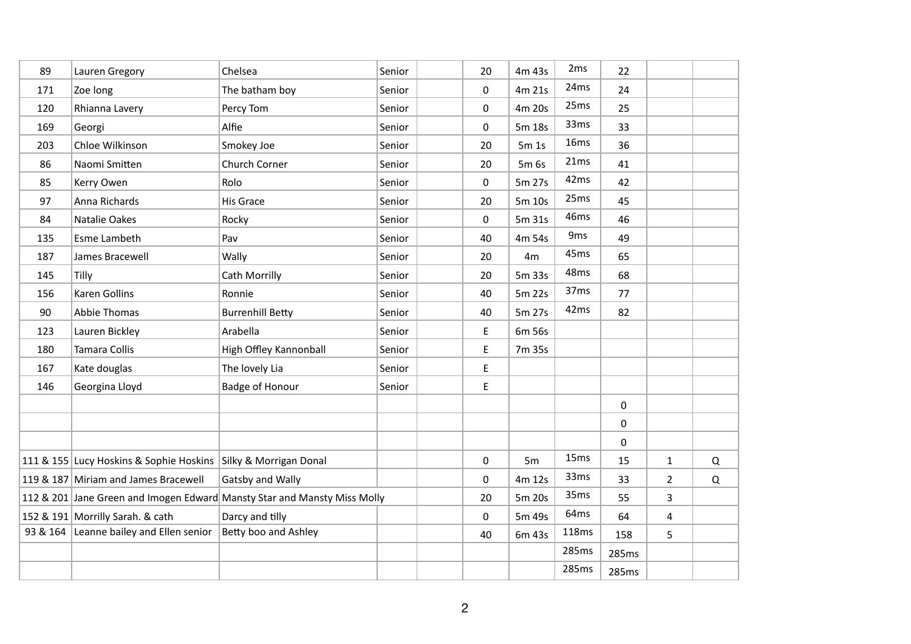| 89  | Lauren Gregory                                                 | Chelsea                                                                  | Senior | 20 | 4m 43s | 2 <sub>ms</sub>  | 22           |                |          |
|-----|----------------------------------------------------------------|--------------------------------------------------------------------------|--------|----|--------|------------------|--------------|----------------|----------|
| 171 | Zoe long                                                       | The batham boy                                                           | Senior | 0  | 4m 21s | 24ms             | 24           |                |          |
| 120 | Rhianna Lavery                                                 | Percy Tom                                                                | Senior | 0  | 4m 20s | 25ms             | 25           |                |          |
| 169 | Georgi                                                         | Alfie                                                                    | Senior | 0  | 5m 18s | 33ms             | 33           |                |          |
| 203 | Chloe Wilkinson                                                | Smokey Joe                                                               | Senior | 20 | 5m 1s  | 16ms             | 36           |                |          |
| 86  | Naomi Smitten                                                  | Church Corner                                                            | Senior | 20 | 5m 6s  | 21ms             | 41           |                |          |
| 85  | Kerry Owen                                                     | Rolo                                                                     | Senior | 0  | 5m 27s | 42ms             | 42           |                |          |
| 97  | Anna Richards                                                  | His Grace                                                                | Senior | 20 | 5m 10s | 25ms             | 45           |                |          |
| 84  | Natalie Oakes                                                  | Rocky                                                                    | Senior | 0  | 5m 31s | 46ms             | 46           |                |          |
| 135 | Esme Lambeth                                                   | Pav                                                                      | Senior | 40 | 4m 54s | 9 <sub>ms</sub>  | 49           |                |          |
| 187 | James Bracewell                                                | Wally                                                                    | Senior | 20 | 4m     | 45 <sub>ms</sub> | 65           |                |          |
| 145 | Tilly                                                          | Cath Morrilly                                                            | Senior | 20 | 5m 33s | 48ms             | 68           |                |          |
| 156 | <b>Karen Gollins</b>                                           | Ronnie                                                                   | Senior | 40 | 5m 22s | 37 <sub>ms</sub> | 77           |                |          |
| 90  | <b>Abbie Thomas</b>                                            | <b>Burrenhill Betty</b>                                                  | Senior | 40 | 5m 27s | 42ms             | 82           |                |          |
| 123 | Lauren Bickley                                                 | Arabella                                                                 | Senior | E  | 6m 56s |                  |              |                |          |
| 180 | <b>Tamara Collis</b>                                           | High Offley Kannonball                                                   | Senior | E  | 7m 35s |                  |              |                |          |
| 167 | Kate douglas                                                   | The lovely Lia                                                           | Senior | E  |        |                  |              |                |          |
| 146 | Georgina Lloyd                                                 | <b>Badge of Honour</b>                                                   | Senior | E  |        |                  |              |                |          |
|     |                                                                |                                                                          |        |    |        |                  | 0            |                |          |
|     |                                                                |                                                                          |        |    |        |                  | 0            |                |          |
|     |                                                                |                                                                          |        |    |        |                  | $\mathsf{O}$ |                |          |
|     | 111 & 155 Lucy Hoskins & Sophie Hoskins Silky & Morrigan Donal |                                                                          |        | 0  | 5m     | 15 <sub>ms</sub> | 15           | $\mathbf{1}$   | $\Omega$ |
|     | 119 & 187 Miriam and James Bracewell                           | Gatsby and Wally                                                         |        | 0  | 4m 12s | 33ms             | 33           | $\overline{2}$ | Q        |
|     |                                                                | 112 & 201 Jane Green and Imogen Edward Mansty Star and Mansty Miss Molly |        | 20 | 5m 20s | 35ms             | 55           | $\overline{3}$ |          |
|     | 152 & 191 Morrilly Sarah. & cath                               | Darcy and tilly                                                          |        | 0  | 5m 49s | 64ms             | 64           | $\overline{4}$ |          |
|     | 93 & 164 Leanne bailey and Ellen senior                        | Betty boo and Ashley                                                     |        | 40 | 6m 43s | 118ms            | 158          | 5              |          |
|     |                                                                |                                                                          |        |    |        | 285ms            | 285ms        |                |          |
|     |                                                                |                                                                          |        |    |        | 285ms            | 285ms        |                |          |
|     |                                                                |                                                                          |        |    |        |                  |              |                |          |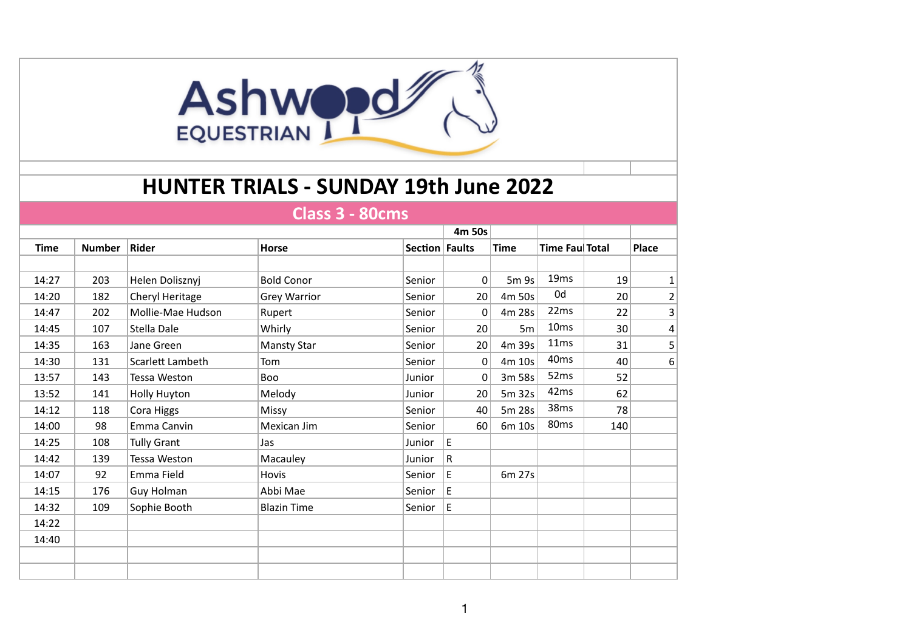# Ashwood

### **HUNTER TRIALS - SUNDAY 19th June 2022**

#### **Class 3 - 80cms**

|             |               |                    |                     |                | 4m 50s   |             |                  |     |              |
|-------------|---------------|--------------------|---------------------|----------------|----------|-------------|------------------|-----|--------------|
| <b>Time</b> | <b>Number</b> | Rider              | <b>Horse</b>        | Section Faults |          | <b>Time</b> | Time Fau Total   |     | Place        |
|             |               |                    |                     |                |          |             |                  |     |              |
| 14:27       | 203           | Helen Dolisznyj    | <b>Bold Conor</b>   | Senior         | $\Omega$ | 5m 9s       | 19 <sub>ms</sub> | 19  | $\mathbf{1}$ |
| 14:20       | 182           | Cheryl Heritage    | <b>Grey Warrior</b> | Senior         | 20       | 4m 50s      | 0d               | 20  | 2            |
| 14:47       | 202           | Mollie-Mae Hudson  | Rupert              | Senior         | 0        | 4m 28s      | 22ms             | 22  | 3            |
| 14:45       | 107           | Stella Dale        | Whirly              | Senior         | 20       | 5m          | 10 <sub>ms</sub> | 30  | 4            |
| 14:35       | 163           | Jane Green         | <b>Mansty Star</b>  | Senior         | 20       | 4m 39s      | 11ms             | 31  | 5            |
| 14:30       | 131           | Scarlett Lambeth   | Tom                 | Senior         | 0        | 4m 10s      | 40 <sub>ms</sub> | 40  | 6            |
| 13:57       | 143           | Tessa Weston       | Boo                 | Junior         | 0        | 3m 58s      | 52 <sub>ms</sub> | 52  |              |
| 13:52       | 141           | Holly Huyton       | Melody              | Junior         | 20       | 5m 32s      | 42ms             | 62  |              |
| 14:12       | 118           | Cora Higgs         | Missy               | Senior         | 40       | 5m 28s      | 38ms             | 78  |              |
| 14:00       | 98            | Emma Canvin        | Mexican Jim         | Senior         | 60       | 6m 10s      | 80 <sub>ms</sub> | 140 |              |
| 14:25       | 108           | <b>Tully Grant</b> | Jas                 | Junior         | E.       |             |                  |     |              |
| 14:42       | 139           | Tessa Weston       | Macauley            | Junior         | R        |             |                  |     |              |
| 14:07       | 92            | Emma Field         | Hovis               | Senior         | E        | 6m 27s      |                  |     |              |
| 14:15       | 176           | Guy Holman         | Abbi Mae            | Senior         | E        |             |                  |     |              |
| 14:32       | 109           | Sophie Booth       | <b>Blazin Time</b>  | Senior         | E        |             |                  |     |              |
| 14:22       |               |                    |                     |                |          |             |                  |     |              |
| 14:40       |               |                    |                     |                |          |             |                  |     |              |
|             |               |                    |                     |                |          |             |                  |     |              |
|             |               |                    |                     |                |          |             |                  |     |              |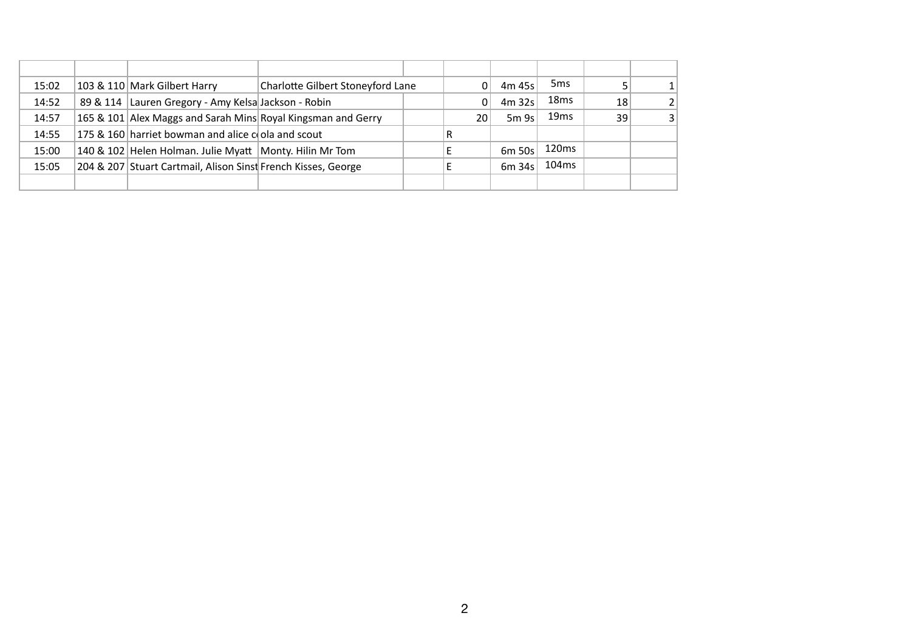| 15:02 | 103 & 110 Mark Gilbert Harry                                  | Charlotte Gilbert Stoneyford Lane |    | 4m 45s | 5 <sub>ms</sub>   |    |                |
|-------|---------------------------------------------------------------|-----------------------------------|----|--------|-------------------|----|----------------|
| 14:52 | 89 & 114 Lauren Gregory - Amy Kelsa Jackson - Robin           |                                   |    | 4m 32s | 18 <sub>ms</sub>  | 18 | $\overline{2}$ |
| 14:57 | 165 & 101 Alex Maggs and Sarah Mins Royal Kingsman and Gerry  |                                   | 20 | 5m9s   | 19 <sub>ms</sub>  | 39 | 3              |
| 14:55 | 175 & 160 harriet bowman and alice cola and scout             |                                   | R  |        |                   |    |                |
| 15:00 | 140 & 102 Helen Holman. Julie Myatt   Monty. Hilin Mr Tom     |                                   |    | 6m 50s | 120 <sub>ms</sub> |    |                |
| 15:05 | 204 & 207 Stuart Cartmail, Alison Sinst French Kisses, George |                                   |    | 6m 34s | 104 <sub>ms</sub> |    |                |
|       |                                                               |                                   |    |        |                   |    |                |